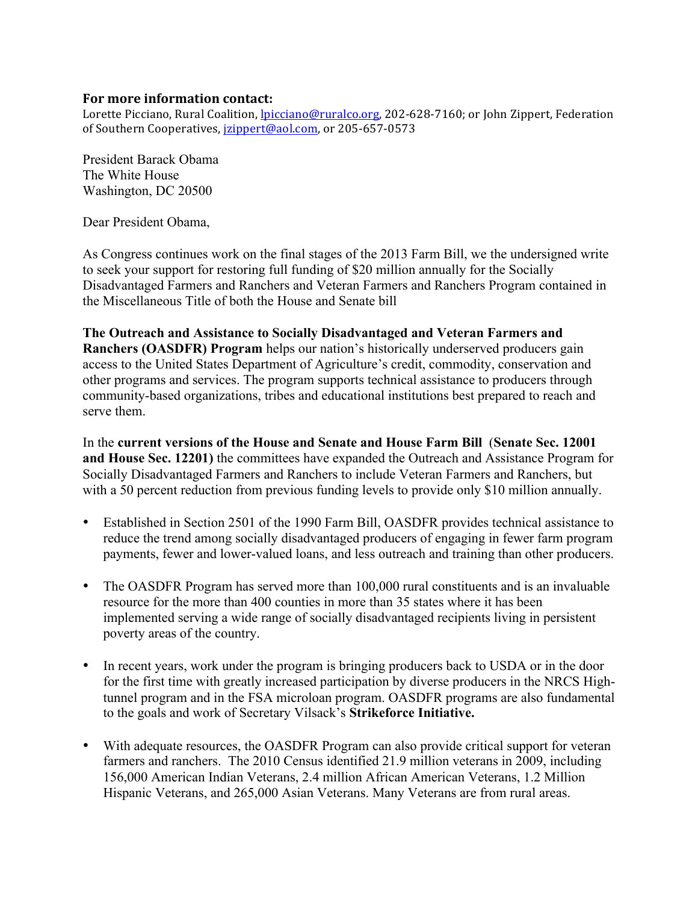## **For more information contact:**

Lorette Picciano, Rural Coalition, *lpicciano@ruralco.org*, 202-628-7160; or John Zippert, Federation of Southern Cooperatives, *jzippert@aol.com*, or 205-657-0573

President Barack Obama The White House Washington, DC 20500

Dear President Obama,

As Congress continues work on the final stages of the 2013 Farm Bill, we the undersigned write to seek your support for restoring full funding of \$20 million annually for the Socially Disadvantaged Farmers and Ranchers and Veteran Farmers and Ranchers Program contained in the Miscellaneous Title of both the House and Senate bill

**The Outreach and Assistance to Socially Disadvantaged and Veteran Farmers and Ranchers (OASDFR) Program** helps our nation's historically underserved producers gain access to the United States Department of Agriculture's credit, commodity, conservation and other programs and services. The program supports technical assistance to producers through community-based organizations, tribes and educational institutions best prepared to reach and serve them.

In the **current versions of the House and Senate and House Farm Bill** (**Senate Sec. 12001 and House Sec. 12201)** the committees have expanded the Outreach and Assistance Program for Socially Disadvantaged Farmers and Ranchers to include Veteran Farmers and Ranchers, but with a 50 percent reduction from previous funding levels to provide only \$10 million annually.

- Established in Section 2501 of the 1990 Farm Bill, OASDFR provides technical assistance to reduce the trend among socially disadvantaged producers of engaging in fewer farm program payments, fewer and lower-valued loans, and less outreach and training than other producers.
- The OASDFR Program has served more than 100,000 rural constituents and is an invaluable resource for the more than 400 counties in more than 35 states where it has been implemented serving a wide range of socially disadvantaged recipients living in persistent poverty areas of the country.
- In recent years, work under the program is bringing producers back to USDA or in the door for the first time with greatly increased participation by diverse producers in the NRCS Hightunnel program and in the FSA microloan program. OASDFR programs are also fundamental to the goals and work of Secretary Vilsack's **Strikeforce Initiative.**
- With adequate resources, the OASDFR Program can also provide critical support for veteran farmers and ranchers. The 2010 Census identified 21.9 million veterans in 2009, including 156,000 American Indian Veterans, 2.4 million African American Veterans, 1.2 Million Hispanic Veterans, and 265,000 Asian Veterans. Many Veterans are from rural areas.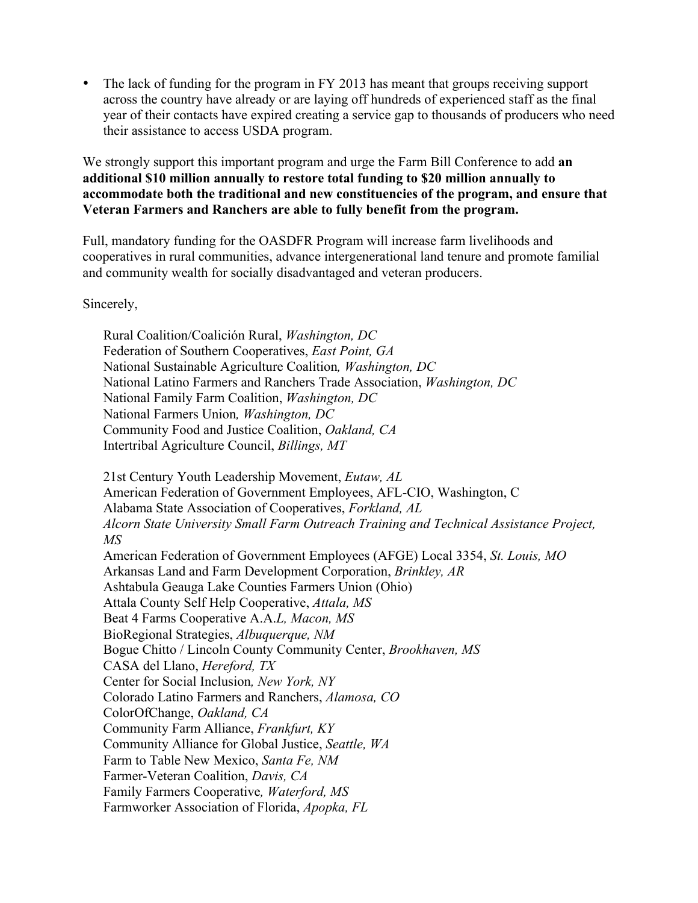The lack of funding for the program in FY 2013 has meant that groups receiving support across the country have already or are laying off hundreds of experienced staff as the final year of their contacts have expired creating a service gap to thousands of producers who need their assistance to access USDA program.

We strongly support this important program and urge the Farm Bill Conference to add **an additional \$10 million annually to restore total funding to \$20 million annually to accommodate both the traditional and new constituencies of the program, and ensure that Veteran Farmers and Ranchers are able to fully benefit from the program.**

Full, mandatory funding for the OASDFR Program will increase farm livelihoods and cooperatives in rural communities, advance intergenerational land tenure and promote familial and community wealth for socially disadvantaged and veteran producers.

## Sincerely,

Rural Coalition/Coalición Rural, *Washington, DC* Federation of Southern Cooperatives, *East Point, GA* National Sustainable Agriculture Coalition*, Washington, DC* National Latino Farmers and Ranchers Trade Association, *Washington, DC* National Family Farm Coalition, *Washington, DC* National Farmers Union*, Washington, DC* Community Food and Justice Coalition, *Oakland, CA* Intertribal Agriculture Council, *Billings, MT*

21st Century Youth Leadership Movement, *Eutaw, AL* American Federation of Government Employees, AFL-CIO, Washington, C Alabama State Association of Cooperatives, *Forkland, AL Alcorn State University Small Farm Outreach Training and Technical Assistance Project, MS* American Federation of Government Employees (AFGE) Local 3354, *St. Louis, MO* Arkansas Land and Farm Development Corporation, *Brinkley, AR* Ashtabula Geauga Lake Counties Farmers Union (Ohio) Attala County Self Help Cooperative, *Attala, MS* Beat 4 Farms Cooperative A.A.*L, Macon, MS* BioRegional Strategies, *Albuquerque, NM* Bogue Chitto / Lincoln County Community Center, *Brookhaven, MS* CASA del Llano, *Hereford, TX* Center for Social Inclusion*, New York, NY* Colorado Latino Farmers and Ranchers, *Alamosa, CO* ColorOfChange, *Oakland, CA* Community Farm Alliance, *Frankfurt, KY* Community Alliance for Global Justice, *Seattle, WA* Farm to Table New Mexico, *Santa Fe, NM* Farmer-Veteran Coalition, *Davis, CA* Family Farmers Cooperative*, Waterford, MS* Farmworker Association of Florida, *Apopka, FL*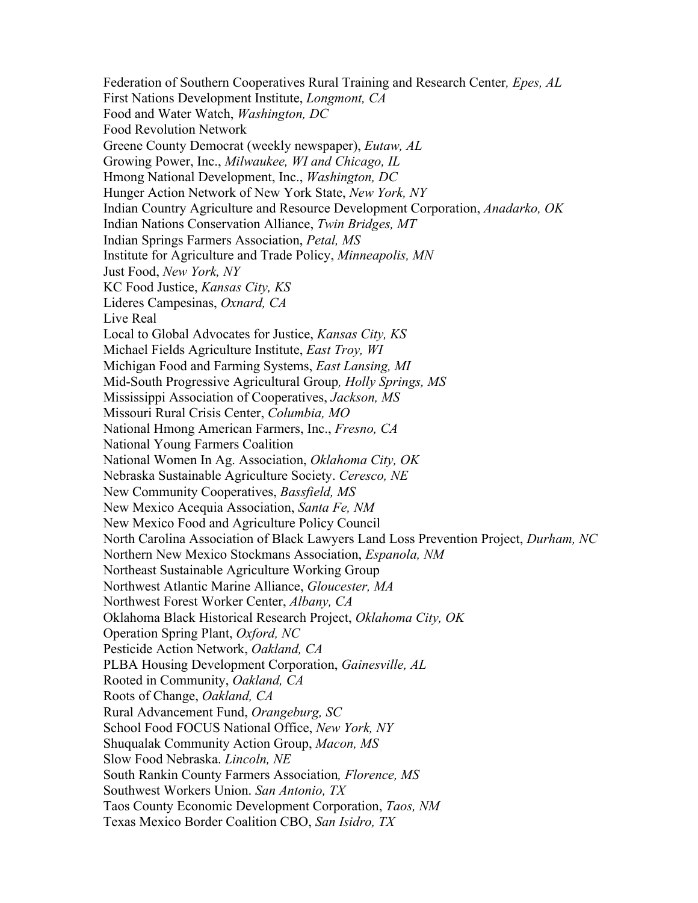Federation of Southern Cooperatives Rural Training and Research Center*, Epes, AL* First Nations Development Institute, *Longmont, CA* Food and Water Watch, *Washington, DC* Food Revolution Network Greene County Democrat (weekly newspaper), *Eutaw, AL* Growing Power, Inc., *Milwaukee, WI and Chicago, IL* Hmong National Development, Inc., *Washington, DC* Hunger Action Network of New York State, *New York, NY* Indian Country Agriculture and Resource Development Corporation, *Anadarko, OK* Indian Nations Conservation Alliance, *Twin Bridges, MT* Indian Springs Farmers Association, *Petal, MS* Institute for Agriculture and Trade Policy, *Minneapolis, MN* Just Food, *New York, NY* KC Food Justice, *Kansas City, KS*  Lideres Campesinas, *Oxnard, CA* Live Real Local to Global Advocates for Justice, *Kansas City, KS* Michael Fields Agriculture Institute, *East Troy, WI* Michigan Food and Farming Systems, *East Lansing, MI* Mid-South Progressive Agricultural Group*, Holly Springs, MS* Mississippi Association of Cooperatives, *Jackson, MS* Missouri Rural Crisis Center, *Columbia, MO* National Hmong American Farmers, Inc., *Fresno, CA* National Young Farmers Coalition National Women In Ag. Association, *Oklahoma City, OK* Nebraska Sustainable Agriculture Society. *Ceresco, NE* New Community Cooperatives, *Bassfield, MS* New Mexico Acequia Association, *Santa Fe, NM* New Mexico Food and Agriculture Policy Council North Carolina Association of Black Lawyers Land Loss Prevention Project, *Durham, NC* Northern New Mexico Stockmans Association, *Espanola, NM* Northeast Sustainable Agriculture Working Group Northwest Atlantic Marine Alliance, *Gloucester, MA* Northwest Forest Worker Center, *Albany, CA* Oklahoma Black Historical Research Project, *Oklahoma City, OK* Operation Spring Plant, *Oxford, NC* Pesticide Action Network, *Oakland, CA* PLBA Housing Development Corporation, *Gainesville, AL* Rooted in Community, *Oakland, CA* Roots of Change, *Oakland, CA* Rural Advancement Fund, *Orangeburg, SC* School Food FOCUS National Office, *New York, NY* Shuqualak Community Action Group, *Macon, MS* Slow Food Nebraska. *Lincoln, NE* South Rankin County Farmers Association*, Florence, MS* Southwest Workers Union. *San Antonio, TX* Taos County Economic Development Corporation, *Taos, NM* Texas Mexico Border Coalition CBO, *San Isidro, TX*